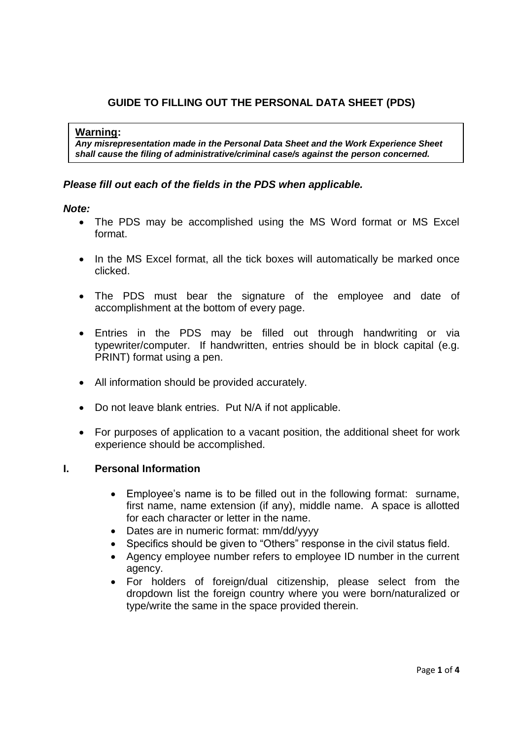# **GUIDE TO FILLING OUT THE PERSONAL DATA SHEET (PDS)**

#### **Warning:**

*Any misrepresentation made in the Personal Data Sheet and the Work Experience Sheet shall cause the filing of administrative/criminal case/s against the person concerned.* 

### *Please fill out each of the fields in the PDS when applicable.*

### *Note:*

- The PDS may be accomplished using the MS Word format or MS Excel format.
- In the MS Excel format, all the tick boxes will automatically be marked once clicked.
- The PDS must bear the signature of the employee and date of accomplishment at the bottom of every page.
- Entries in the PDS may be filled out through handwriting or via typewriter/computer. If handwritten, entries should be in block capital (e.g. PRINT) format using a pen.
- All information should be provided accurately.
- Do not leave blank entries. Put N/A if not applicable.
- For purposes of application to a vacant position, the additional sheet for work experience should be accomplished.

### **I. Personal Information**

- Employee's name is to be filled out in the following format: surname, first name, name extension (if any), middle name. A space is allotted for each character or letter in the name.
- Dates are in numeric format: mm/dd/yyyy
- Specifics should be given to "Others" response in the civil status field.
- Agency employee number refers to employee ID number in the current agency.
- For holders of foreign/dual citizenship, please select from the dropdown list the foreign country where you were born/naturalized or type/write the same in the space provided therein.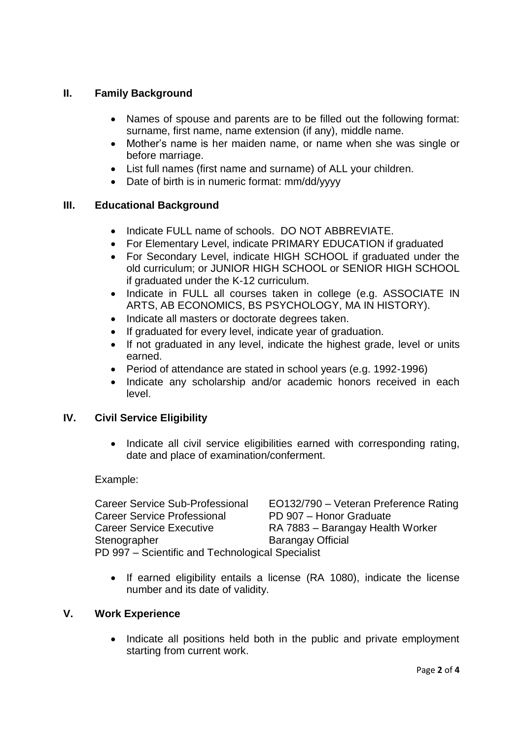# **II. Family Background**

- Names of spouse and parents are to be filled out the following format: surname, first name, name extension (if any), middle name.
- Mother's name is her maiden name, or name when she was single or before marriage.
- List full names (first name and surname) of ALL your children.
- Date of birth is in numeric format: mm/dd/yyyy

### **III. Educational Background**

- Indicate FULL name of schools. DO NOT ABBREVIATE.
- For Elementary Level, indicate PRIMARY EDUCATION if graduated
- For Secondary Level, indicate HIGH SCHOOL if graduated under the old curriculum; or JUNIOR HIGH SCHOOL or SENIOR HIGH SCHOOL if graduated under the K-12 curriculum.
- Indicate in FULL all courses taken in college (e.g. ASSOCIATE IN ARTS, AB ECONOMICS, BS PSYCHOLOGY, MA IN HISTORY).
- Indicate all masters or doctorate degrees taken.
- If graduated for every level, indicate year of graduation.
- If not graduated in any level, indicate the highest grade, level or units earned.
- Period of attendance are stated in school years (e.g. 1992-1996)
- Indicate any scholarship and/or academic honors received in each level.

# **IV. Civil Service Eligibility**

• Indicate all civil service eligibilities earned with corresponding rating, date and place of examination/conferment.

### Example:

Career Service Sub-Professional EO132/790 – Veteran Preference Rating Career Service Professional PD 907 – Honor Graduate Career Service Executive RA 7883 – Barangay Health Worker Stenographer Barangay Official PD 997 – Scientific and Technological Specialist

• If earned eligibility entails a license (RA 1080), indicate the license number and its date of validity.

### **V. Work Experience**

• Indicate all positions held both in the public and private employment starting from current work.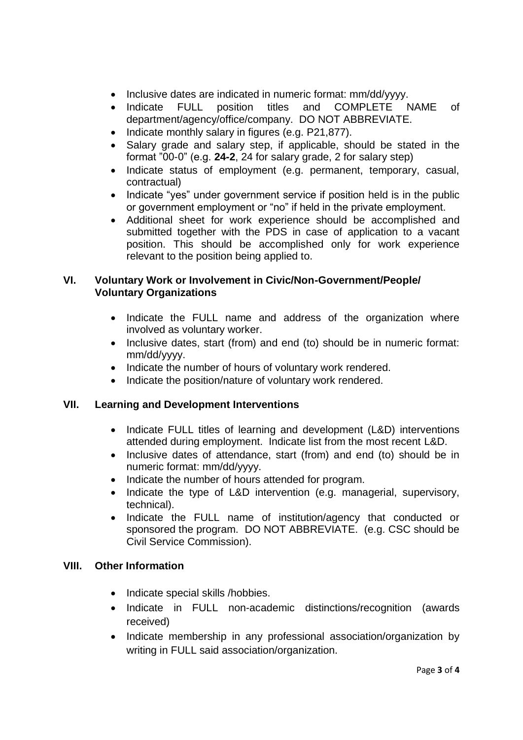- Inclusive dates are indicated in numeric format: mm/dd/yyyy.
- Indicate FULL position titles and COMPLETE NAME of department/agency/office/company. DO NOT ABBREVIATE.
- Indicate monthly salary in figures (e.g. P21,877).
- Salary grade and salary step, if applicable, should be stated in the format "00-0" (e.g. **24-2**, 24 for salary grade, 2 for salary step)
- Indicate status of employment (e.g. permanent, temporary, casual, contractual)
- Indicate "yes" under government service if position held is in the public or government employment or "no" if held in the private employment.
- Additional sheet for work experience should be accomplished and submitted together with the PDS in case of application to a vacant position. This should be accomplished only for work experience relevant to the position being applied to.

# **VI. Voluntary Work or Involvement in Civic/Non-Government/People/ Voluntary Organizations**

- Indicate the FULL name and address of the organization where involved as voluntary worker.
- Inclusive dates, start (from) and end (to) should be in numeric format: mm/dd/yyyy.
- Indicate the number of hours of voluntary work rendered.
- Indicate the position/nature of voluntary work rendered.

# **VII. Learning and Development Interventions**

- Indicate FULL titles of learning and development (L&D) interventions attended during employment. Indicate list from the most recent L&D.
- Inclusive dates of attendance, start (from) and end (to) should be in numeric format: mm/dd/yyyy.
- Indicate the number of hours attended for program.
- Indicate the type of L&D intervention (e.g. managerial, supervisory, technical).
- Indicate the FULL name of institution/agency that conducted or sponsored the program. DO NOT ABBREVIATE. (e.g. CSC should be Civil Service Commission).

# **VIII. Other Information**

- Indicate special skills /hobbies.
- Indicate in FULL non-academic distinctions/recognition (awards received)
- Indicate membership in any professional association/organization by writing in FULL said association/organization.